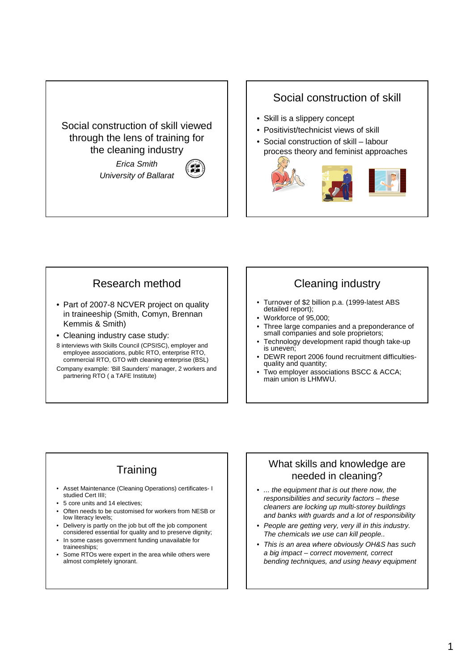Social construction of skill viewed through the lens of training for the cleaning industry

> Erica Smith University of Ballarat



#### Social construction of skill

- Skill is a slippery concept
- Positivist/technicist views of skill
- Social construction of skill labour process theory and feminist approaches



### Research method

- Part of 2007-8 NCVER project on quality in traineeship (Smith, Comyn, Brennan Kemmis & Smith)
- Cleaning industry case study:
- 8 interviews with Skills Council (CPSISC), employer and employee associations, public RTO, enterprise RTO, commercial RTO, GTO with cleaning enterprise (BSL)
- Company example: 'Bill Saunders' manager, 2 workers and partnering RTO ( a TAFE Institute)

# Cleaning industry

- Turnover of \$2 billion p.a. (1999-latest ABS detailed report);
- Workforce of 95,000;
- Three large companies and a preponderance of small companies and sole proprietors;
- Technology development rapid though take-up is uneven;
- DEWR report 2006 found recruitment difficultiesquality and quantity;
- Two employer associations BSCC & ACCA; main union is LHMWU.

# **Training**

- Asset Maintenance (Cleaning Operations) certificates- I studied Cert IIII;
- 5 core units and 14 electives;
- Often needs to be customised for workers from NESB or low literacy levels;
- Delivery is partly on the job but off the job component considered essential for quality and to preserve dignity;
- In some cases government funding unavailable for traineeships;
- Some RTOs were expert in the area while others were almost completely ignorant.

#### What skills and knowledge are needed in cleaning?

- ... the equipment that is out there now, the responsibilities and security factors – these cleaners are locking up multi-storey buildings and banks with guards and a lot of responsibility
- People are getting very, very ill in this industry. The chemicals we use can kill people..
- This is an area where obviously OH&S has such a big impact – correct movement, correct bending techniques, and using heavy equipment